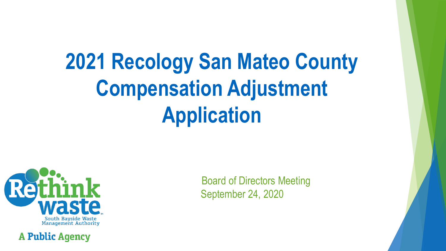# **2021 Recology San Mateo County Compensation Adjustment Application**



**A Public Agency** 

Board of Directors Meeting September 24, 2020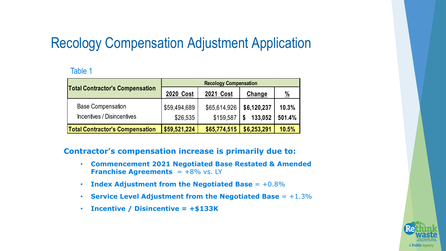# Recology Compensation Adjustment Application

#### Table 1

| <b>Total Contractor's Compensation</b> | <b>2020 Cost</b> | <b>2021 Cost</b> | Change      | $\frac{0}{2}$ |
|----------------------------------------|------------------|------------------|-------------|---------------|
| <b>Base Compensation</b>               | \$59,494,689     | \$65,614,926     | \$6,120,237 | 10.3%         |
| Incentives / Disincentives             | \$26,535         | \$159,587        | \$133,052   | 501.4%        |
| <b>Total Contractor's Compensation</b> | \$59,521,224     | \$65,774,515     | \$6,253,291 | 10.5%         |

#### **Contractor's compensation increase is primarily due to:**

- **Commencement 2021 Negotiated Base Restated & Amended Franchise Agreements**  $= +8\%$  vs. LY
- **Index Adjustment from the Negotiated Base** = +0.8%
- **Service Level Adjustment from the Negotiated Base** = +1.3%
- **Incentive / Disincentive = +\$133K**

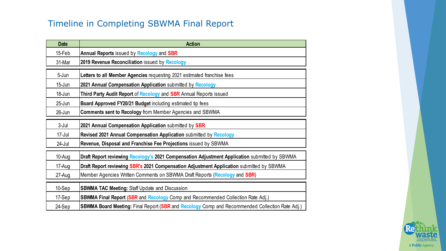### Timeline in Completing SBWMA Final Report

| <b>Date</b> | <b>Action</b>                                                                                  |
|-------------|------------------------------------------------------------------------------------------------|
| 15-Feb      | Annual Reports issued by Recology and SBR                                                      |
| 31-Mar      | 2019 Revenue Reconciliation issued by Recology                                                 |
| 5-Jun       | Letters to all Member Agencies requesting 2021 estimated franchise fees                        |
| $15 - Jun$  | 2021 Annual Compensation Application submitted by Recology                                     |
| 18-Jun      | Third Party Audit Report of Recology and SBR Annual Reports issued                             |
| $25$ -Jun   | Board Approved FY20/21 Budget including estimated tip fees                                     |
| 26-Jun      | <b>Comments sent to Recology from Member Agencies and SBWMA</b>                                |
| $3-Jul$     | 2021 Annual Compensation Application submitted by SBR                                          |
| $17 -$ Jul  | Revised 2021 Annual Compensation Application submitted by Recology                             |
| 24-Jul      | Revenue, Disposal and Franchise Fee Projections issued by SBWMA                                |
| 10-Aug      | Draft Report reviewing Recology's 2021 Compensation Adjustment Application submitted by SBWMA  |
| 17-Aug      | Draft Report reviewing SBR's 2021 Compensation Adjustment Application submitted by SBWMA       |
| 27-Aug      | Member Agencies Written Comments on SBWMA Draft Reports (Recology and SBR)                     |
| 10-Sep      | <b>SBWMA TAC Meeting: Staff Update and Discussion</b>                                          |
| 17-Sep      | <b>SBWMA Final Report (SBR and Recology Comp and Recommended Collection Rate Adj.)</b>         |
| 24-Sep      | SBWMA Board Meeting: Final Report (SBR and Recology Comp and Recommended Collection Rate Adj.) |

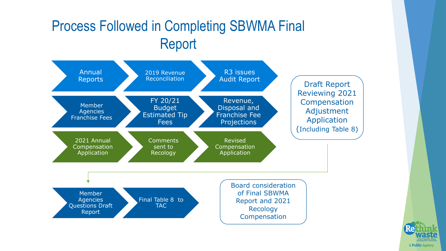# Process Followed in Completing SBWMA Final Report



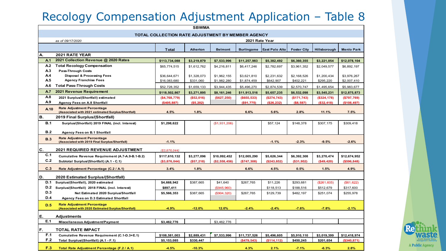# Recology Compensation Adjustment Application – Table 8

|                                  |                                                                                         |                                                   | <b>SBWMA</b>             |                            |                            |                          |                          |                          |                            |
|----------------------------------|-----------------------------------------------------------------------------------------|---------------------------------------------------|--------------------------|----------------------------|----------------------------|--------------------------|--------------------------|--------------------------|----------------------------|
|                                  |                                                                                         | TOTAL COLLECTION RATE ADJUSTMENT BY MEMBER AGENCY |                          |                            |                            |                          |                          |                          |                            |
|                                  | as of 09/17/2020                                                                        |                                                   |                          |                            | 2021 Rate Year             |                          |                          |                          |                            |
|                                  |                                                                                         |                                                   |                          |                            |                            |                          |                          |                          |                            |
|                                  |                                                                                         | <b>Total</b>                                      | <b>Atherton</b>          | <b>Belmont</b>             | <b>Burlingame</b>          | <b>East Palo Alto</b>    | <b>Foster City</b>       | Hillsborough             | <b>Menlo Park</b>          |
| Α.                               | 2021 RATE YEAR                                                                          |                                                   |                          |                            |                            |                          |                          |                          |                            |
| A <sub>1</sub>                   | 2021 Collection Revenue @ 2020 Rates                                                    | \$113,734,088                                     | \$3,219,879              | \$7,533,996                | \$11,257,983               | \$5,382,492              | \$6,360,355              | \$3,221,054              | \$12,078,104               |
| A <sub>2</sub>                   | <b>Total Recology Compensation</b>                                                      | \$65,774,515                                      | \$1,612,762              | \$4,216,811                | \$6,417,246                | \$2,782,697              | \$3,961,352              | \$2,049,577              | \$6,892,197                |
| A <sub>3</sub><br>A <sub>4</sub> | <b>Pass-Through Costs</b>                                                               |                                                   |                          |                            |                            |                          |                          |                          |                            |
| A <sub>5</sub>                   | <b>Disposal &amp; Processing Fees</b><br><b>Agency Franchise Fees</b>                   | \$36,644,671<br>\$16,083,680                      | \$1,328,073<br>\$331,060 | \$1,962,155<br>\$1,982,280 | \$3,621,810<br>\$1,874,459 | \$2,231,632<br>\$642,907 | \$2,168,526<br>\$402,221 | \$1,200,434<br>\$295,220 | \$3,976,267<br>\$2,007,410 |
| A <sub>6</sub>                   | <b>Total Pass-Through Costs</b>                                                         |                                                   |                          |                            |                            |                          |                          |                          |                            |
| A7                               | 2021 Revenue Requirement                                                                | \$52,728,352                                      | \$1,659,133              | \$3,944,435                | \$5,496,270                | \$2,874,539              | \$2,570,747              | \$1,495,654              | \$5,983,677                |
| A8                               |                                                                                         | \$118,502,867                                     | \$3,271,895              | \$8,161,246                | \$11,913,516               | \$5,657,235              | \$6,532,098              | \$3,545,231              | \$12,875,873               |
| A <sub>9</sub>                   | 2021 Surplus/(Shortfall) estimated                                                      | (\$4,768,779)                                     | (\$52,016)               | (\$627, 250)               | ( \$655, 533)              | (\$274,743)              | (\$171,743)              | (\$324,178)              | (\$797,769)                |
|                                  | <b>Agency Fees on A.8 Shortfall</b>                                                     | (\$405,887)                                       | (\$5,202)                |                            | (\$91,775)                 | (\$26,232)               | (\$8,587)                | (\$32,418)               | (\$108,497)                |
| A <sub>10</sub>                  | <b>Rate Adjustment Percentage</b><br>(Associated with 2021 estimated Surplus/Shortfall) | 4.5%                                              | 1.8%                     |                            | 6.6%                       | 5.6%                     | 2.8%                     | 11.1%                    | 7.5%                       |
| В.                               | 2019 Final Surplus/(Shortfall)                                                          |                                                   |                          |                            |                            |                          |                          |                          |                            |
| B.1                              | Surplus/(Shortfall) 2019 FINAL (incl. Interest)                                         | \$1,298,622                                       |                          | (\$1,931,206)              |                            | \$57,124                 | \$148,378                | \$307,175                | \$309,418                  |
| B.2                              | <b>Agency Fees on B.1 Shortfall</b>                                                     |                                                   |                          |                            |                            |                          |                          |                          |                            |
| <b>B.3</b>                       | <b>Rate Adjustment Percentage</b><br>(Associated with 2019 Final Surplus/Shortfall)     | $-1.1%$                                           |                          |                            |                            | $-1.1%$                  | $-2.3%$                  | $-9.5%$                  | $-2.6%$                    |
| $\mathbf{c}$ .                   | <b>2021 REQUIRED REVENUE ADJUSTMENT</b>                                                 | ( \$3,876,044)                                    |                          |                            |                            |                          |                          |                          |                            |
| C.1                              | Cumulative Revenue Requirement (A.7-A.9-B.1-B.2)                                        | \$117,610,132                                     | \$3,277,096              | \$10,092,452               | \$12,005,290               | \$5,626,344              | \$6,392,308              | \$3,270,474              | \$12,674,952               |
| C.2                              | Subtotal Surplus/(Shortfall) (A.1 - C.1)                                                | (\$3,876,044)                                     | (\$57,218)               | (\$2,558,456)              | $(*747,308)$               | (\$243,852)              | (\$31,952)               | (\$49,420)               | (\$596, 848)               |
| C.3                              | Rate Adjustment Percentage (C.2 / A.1)                                                  | 3.4%                                              | 1.8%                     |                            | 6.6%                       | 4.5%                     | 0.5%                     | 1.5%                     | 4.9%                       |
|                                  |                                                                                         |                                                   |                          |                            |                            |                          |                          |                          |                            |
| D.<br><b>D.1</b>                 | 2020 Estimated Surplus/(Shortfall)                                                      |                                                   |                          |                            |                            |                          |                          |                          |                            |
| D.2                              | Surplus/(Shortfall), 2020 estimated<br>Surplus/(Shortfall) 2018 FINAL (incl. Interest)  | \$4,668,942                                       | \$387,665                | \$41,640                   | \$267,765                  | \$11,226                 | \$293.681                | (\$261,605)              | (\$61,622)                 |
| D.3                              | Net Estimated 2020 Surplus/Shortfall                                                    | \$897,411<br>\$5,566,353                          | \$387,665                | (\$945,960)<br>(\$904,320) | \$267,765                  | \$118,513<br>\$129,739   | \$188,516<br>\$482,197   | \$512,679<br>\$251,074   | \$317,600<br>\$255,978     |
| D.4                              | Agency Fees on D.3 Estimated Shortfall                                                  |                                                   |                          |                            |                            |                          |                          |                          |                            |
|                                  |                                                                                         |                                                   |                          |                            |                            |                          |                          |                          |                            |
| D.5                              | <b>Rate Adjustment Percentage</b><br>(Associated with 2020 Estimated Surplus/Shortfall) | $-4.9%$                                           | $-12.0%$                 | 12.0%                      | $-2.4%$                    | $-2.4%$                  | $-7.6%$                  | $-7.8%$                  | $-2.1%$                    |
| Ε.                               | Adjustments                                                                             |                                                   |                          |                            |                            |                          |                          |                          |                            |
| E.1                              | Miscellaneous Adjustment/Payment                                                        | \$3,462,776                                       |                          | \$3,462,776                |                            |                          |                          |                          |                            |
| F.                               | <b>TOTAL RATE IMPACT</b>                                                                |                                                   |                          |                            |                            |                          |                          |                          |                            |
| F.1                              | Cumulative Revenue Requirement (C.1-D.3+E.1)                                            | \$108,581,003                                     | \$2,889,431              | \$7,533,996                | \$11,737,526               | \$5,496,605              | \$5,910,110              | \$3,019,399              | \$12,418,974               |
| F.2                              | Total Surplus/(Shortfall) (A.1 - F.1)                                                   | \$5,153,085                                       | \$330,447                |                            | (\$479,543)                | (\$114, 112)             | \$450,245                | \$201,654                | (\$340, 871)               |
| F.3                              | Total Rate Adjustment Percentage (F.2 / A.1)                                            | $-4.5%$                                           | $-10.3%$                 |                            | 4.3%                       | 2.1%                     | $-7.1%$                  | $-6.3%$                  | 2.8%                       |

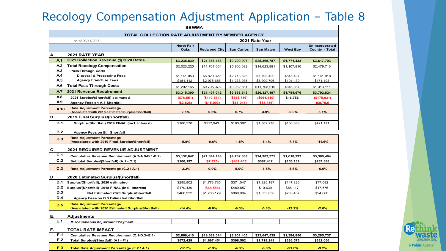# Recology Compensation Adjustment Application – Table 8

|                |                                                                                         | <b>SBWMA</b>              |                     |                   |                  |                 |                                  |
|----------------|-----------------------------------------------------------------------------------------|---------------------------|---------------------|-------------------|------------------|-----------------|----------------------------------|
|                | TOTAL COLLECTION RATE ADJUSTMENT BY MEMBER AGENCY                                       |                           |                     |                   |                  |                 |                                  |
|                | as of 09/17/2020                                                                        |                           |                     |                   | 2021 Rate Year   |                 |                                  |
|                |                                                                                         | <b>North Fair</b><br>Oaks | <b>Redwood City</b> | <b>San Carlos</b> | <b>San Mateo</b> | <b>West Bay</b> | Unincorporated<br>County - Total |
| А.             | <b>2021 RATE YEAR</b>                                                                   |                           |                     |                   |                  |                 |                                  |
| A <sub>1</sub> | 2021 Collection Revenue @ 2020 Rates                                                    | \$3,238,839               | \$21,386,468        | \$9,299,907       | \$25,365,787     | \$1,771,433     | \$3,617,793                      |
| A <sub>2</sub> | <b>Total Recology Compensation</b>                                                      | \$2,023,225               | \$11,701,064        | \$5,906,082       | \$14,623,981     | \$1,107,810     | \$2,479,713                      |
| A.3            | <b>Pass-Through Costs</b>                                                               |                           |                     |                   |                  |                 |                                  |
| A <sub>4</sub> | <b>Disposal &amp; Processing Fees</b>                                                   | \$1,141,053               | \$6,820,322         | \$2,713,626       | \$7,793,420      | \$545,437       | \$1,141,918                      |
| A <sub>5</sub> | <b>Agency Franchise Fees</b>                                                            | \$151,112                 | \$2,975,656         | \$1,238,935       | \$3,909,796      | \$101,430       | \$171,193                        |
| A.6            | <b>Total Pass-Through Costs</b>                                                         | \$1,292,165               | \$9,795,978         | \$3,952,561       | \$11,703,215     | \$646,867       | \$1,313,111                      |
| A <sub>7</sub> | 2021 Revenue Requirement                                                                | \$3,315,390               | \$21,497,042        | \$9,858,643       | \$26,327,197     | \$1,754,676     | \$3,792,824                      |
| A.8            | 2021 Surplus/(Shortfall) estimated                                                      | (\$76,551)                | (\$110, 574)        | (\$558,736)       | (\$961,410)      | \$16,756        | (\$175,031)                      |
| A.9            | <b>Agency Fees on A.8 Shortfall</b>                                                     | ( \$3, 828)               | (\$15,093)          | (\$67,048)        | (\$38,456)       |                 | (\$8,752)                        |
| A.10           | <b>Rate Adjustment Percentage</b>                                                       |                           |                     |                   |                  |                 |                                  |
|                | (Associated with 2018 estimated Surplus/Shortfall)                                      | 2.5%                      | 0.6%                | 6.7%              | 3.9%             | $-0.9%$         | 5.1%                             |
| В.             | 2019 Final Surplus/(Shortfall)                                                          |                           |                     |                   |                  |                 |                                  |
| B.1            | Surplus/(Shortfall) 2019 FINAL (incl. Interest)                                         | \$186,576                 | \$117,943           | \$163,382         | \$1,382,278      | \$136,383       | \$421,171                        |
| B.2            |                                                                                         |                           |                     |                   |                  |                 |                                  |
|                | <b>Agency Fees on B.1 Shortfall</b>                                                     |                           |                     |                   |                  |                 |                                  |
| B.3            | <b>Rate Adjustment Percentage</b><br>(Associated with 2019 Final Surplus/Shortfall)     | $-5.8%$                   | $-0.6%$             | $-1.8%$           | $-5.4%$          | $-7.7%$         | $-11.6%$                         |
|                |                                                                                         |                           |                     |                   |                  |                 |                                  |
| С.             | <b>2021 REQUIRED REVENUE ADJUSTMENT</b>                                                 |                           |                     |                   |                  |                 |                                  |
| C.1            | Cumulative Revenue Requirement (A.7-A.9-B.1-B.2)                                        | \$3,132,642               | \$21,394,193        | \$9,762,309       | \$24,983,375     | \$1,618,293     | \$3,380,404                      |
| C.2            | Subtotal Surplus/(Shortfall) (A.1 - C.1)                                                | \$106,197                 | (\$7,725)           | $(*462,403)$      | \$382,412        | \$153,139       | \$237,388                        |
| C.3            | Rate Adjustment Percentage (C.2 / A.1)                                                  | $-3.3%$                   | 0.0%                | 5.0%              | $-1.5%$          | $-8.6%$         | $-6.6%$                          |
| D.             | <b>2020 Estimated Surplus/(Shortfall)</b>                                               |                           |                     |                   |                  |                 |                                  |
| <b>D.1</b>     | Surplus/(Shortfall), 2020 estimated                                                     | \$295,802                 | \$1,773,735         | \$371,047         | \$1,325,197      | \$147,320       | \$77,092                         |
| <b>D.2</b>     | Surplus/(Shortfall) 2018 FINAL (incl. Interest)                                         | \$170,430                 | (\$68,556)          | \$489,857         | \$10,639         | \$86,117        | \$17,576                         |
| D.3            | Net Estimated 2020 Surplus/Shortfall                                                    | \$466,232                 | \$1,705,179         | \$860,904         | \$1,335,836      | \$233,437       | \$94,668                         |
| <b>D.4</b>     | <b>Agency Fees on D.3 Estimated Shortfall</b>                                           |                           |                     |                   |                  |                 |                                  |
|                |                                                                                         |                           |                     |                   |                  |                 |                                  |
| D.5            | <b>Rate Adjustment Percentage</b><br>(Associated with 2020 Estimated Surplus/Shortfall) | $-14.4%$                  | $-8.0%$             | $-9.3%$           | $-5.3%$          | $-13.2%$        | $-2.6%$                          |
| Е.             | Adjustments                                                                             |                           |                     |                   |                  |                 |                                  |
| E.1            |                                                                                         |                           |                     |                   |                  |                 |                                  |
|                | Miscellaneous Adjustment/Payment                                                        |                           |                     |                   |                  |                 |                                  |
| F.             | <b>TOTAL RATE IMPACT</b>                                                                |                           |                     |                   |                  |                 |                                  |
| F.1            | Cumulative Revenue Requirement (C.1-D.3+E.1)                                            | \$2,666,410               | \$19,689,014        | \$8,901,405       | \$23,647,539     | \$1,384,856     | \$3,285,737                      |
| F.2            | Total Surplus/(Shortfall) (A1 - F1)                                                     | \$572,429                 | \$1,697,454         | \$398,502         | \$1,718,248      | \$386,576       | \$332,056                        |
| F.3            | Total Rate Adjustment Percentage (F.2 / A.1)                                            | $-17.7%$                  | $-7.9%$             | $-4.3%$           | $-6.8%$          | $-21.8%$        | $-9.2%$                          |

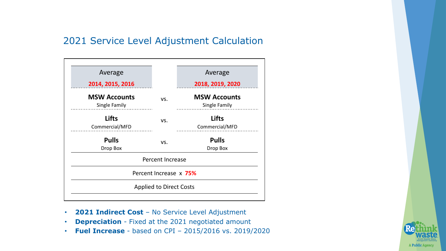#### 2021 Service Level Adjustment Calculation

| Average                              |                                | Average                              |
|--------------------------------------|--------------------------------|--------------------------------------|
| 2014, 2015, 2016                     |                                | 2018, 2019, 2020                     |
| <b>MSW Accounts</b><br>Single Family | VS.                            | <b>MSW Accounts</b><br>Single Family |
| <b>Lifts</b><br>Commercial/MFD       | VS.                            | <b>Lifts</b><br>Commercial/MFD       |
| <b>Pulls</b><br>Drop Box             | VS.                            | <b>Pulls</b><br>Drop Box             |
|                                      | Percent Increase               |                                      |
|                                      | Percent Increase x 75%         |                                      |
|                                      | <b>Applied to Direct Costs</b> |                                      |

- **2021 Indirect Cost**  No Service Level Adjustment
- **Depreciation** Fixed at the 2021 negotiated amount
- **Fuel Increase**  based on CPI 2015/2016 vs. 2019/2020

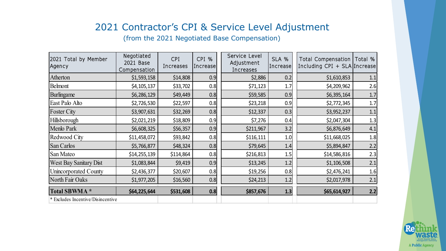## 2021 Contractor's CPI & Service Level Adjustment

(from the 2021 Negotiated Base Compensation)

| 2021 Total by Member<br>Agency    | Negotiated<br>2021 Base<br>Compensation | CPI<br>Increases | CPI %<br>Increase | Service Level<br>Adjustment<br>Increases | SLA %<br>Increase | Total Compensation   Total %<br>Including CPI + SLA Increase |       |
|-----------------------------------|-----------------------------------------|------------------|-------------------|------------------------------------------|-------------------|--------------------------------------------------------------|-------|
| Atherton                          | \$1,593,158                             | \$14,808         | 0.9               | \$2,886                                  | 0.2               | \$1,610,853                                                  | 1.1   |
| <b>Belmont</b>                    | \$4,105,137                             | \$33,702         | 0.8               | \$71,123                                 | 1.7               | \$4,209,962                                                  | 2.6   |
| Burlingame                        | \$6,286,129                             | \$49,449         | 0.8               | \$59,585                                 | 0.9               | \$6,395,164                                                  | $1.7$ |
| East Palo Alto                    | \$2,726,530                             | \$22,597         | 0.8               | \$23,218                                 | 0.9               | \$2,772,345                                                  | 1.7   |
| <b>Foster City</b>                | \$3,907,631                             | \$32,269         | 0.8               | \$12,337                                 | 0.3               | \$3,952,237                                                  | 1.1   |
| Hillsborough                      | \$2,021,219                             | \$18,809         | 0.9               | \$7,276                                  | 0.4               | \$2,047,304                                                  | 1.3   |
| Menlo Park                        | \$6,608,325                             | \$56,357         | 0.9               | \$211,967                                | 3.2               | \$6,876,649                                                  | 4.1   |
| Redwood City                      | \$11,458,072                            | \$93,842         | 0.8               | \$116,111                                | 1.0               | \$11,668,025                                                 | 1.8   |
| San Carlos                        | \$5,766,877                             | \$48,324         | 0.8               | \$79,645                                 | 1.4               | \$5,894,847                                                  | 2.2   |
| San Mateo                         | \$14,255,139                            | \$114,864        | 0.8               | \$216,813                                | 1.5               | \$14,586,816                                                 | 2.3   |
| <b>West Bay Sanitary Dist</b>     | \$1,083,844                             | \$9,419          | 0.9               | \$13,245                                 | 1.2               | \$1,106,508                                                  | 2.1   |
| Unincorporated County             | \$2,436,377                             | \$20,607         | 0.8               | \$19,256                                 | 0.8               | \$2,476,241                                                  | 1.6   |
| North Fair Oaks                   | \$1,977,205                             | \$16,560         | 0.8               | \$24,213                                 | 1.2               | \$2,017,978                                                  | 2.1   |
| Total SBWMA *                     | \$64,225,644                            | \$531,608        | 0.8               | \$857,676                                | 1.3               | \$65,614,927                                                 | 2.2   |
| * Excludes Incentive/Disincentive |                                         |                  |                   |                                          |                   |                                                              |       |

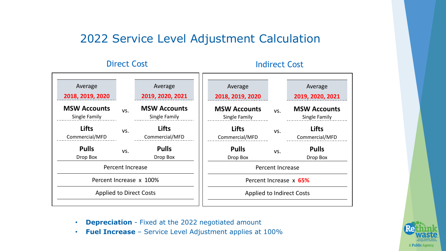## 2022 Service Level Adjustment Calculation

#### Direct Cost **Indirect Cost**

|     | Average<br>2019, 2020, 2021          | Average<br>2018, 2019, 2020                                                   |     | Average<br>2019, 2020, 2021          |
|-----|--------------------------------------|-------------------------------------------------------------------------------|-----|--------------------------------------|
| VS. | <b>MSW Accounts</b><br>Single Family | <b>MSW Accounts</b><br>Single Family                                          | VS. | <b>MSW Accounts</b><br>Single Family |
| VS. | <b>Lifts</b><br>Commercial/MFD       | <b>Lifts</b><br>Commercial/MFD                                                | VS. | <b>Lifts</b><br>Commercial/MFD       |
| VS. | <b>Pulls</b><br>Drop Box             | <b>Pulls</b><br>Drop Box                                                      | VS. | <b>Pulls</b><br>Drop Box             |
|     |                                      |                                                                               |     |                                      |
|     |                                      | Percent Increase x 65%                                                        |     |                                      |
|     |                                      | <b>Applied to Indirect Costs</b>                                              |     |                                      |
|     |                                      | Percent Increase<br>Percent Increase x 100%<br><b>Applied to Direct Costs</b> |     | Percent Increase                     |

- **Depreciation** Fixed at the 2022 negotiated amount
- **Fuel Increase**  Service Level Adjustment applies at 100%